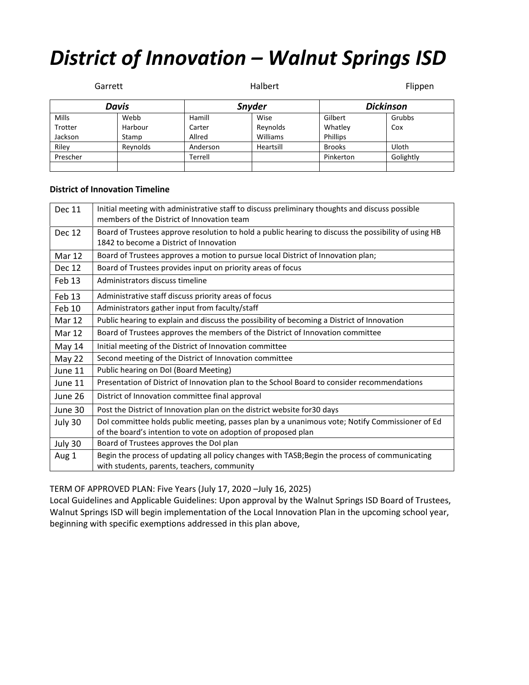## *District of Innovation – Walnut Springs ISD*

|          | Garrett  |          | Halbert       |                 | Flippen          |  |
|----------|----------|----------|---------------|-----------------|------------------|--|
| Davis    |          |          | <b>Snyder</b> |                 | <b>Dickinson</b> |  |
| Mills    | Webb     | Hamill   | Wise          | Gilbert         | Grubbs           |  |
| Trotter  | Harbour  | Carter   | Reynolds      | Whatley         | Cox              |  |
| Jackson  | Stamp    | Allred   | Williams      | <b>Phillips</b> |                  |  |
| Riley    | Reynolds | Anderson | Heartsill     | <b>Brooks</b>   | Uloth            |  |
| Prescher |          | Terrell  |               | Pinkerton       | Golightly        |  |
|          |          |          |               |                 |                  |  |

## **District of Innovation Timeline**

| <b>Dec 11</b> | Initial meeting with administrative staff to discuss preliminary thoughts and discuss possible<br>members of the District of Innovation team                    |
|---------------|-----------------------------------------------------------------------------------------------------------------------------------------------------------------|
| <b>Dec 12</b> | Board of Trustees approve resolution to hold a public hearing to discuss the possibility of using HB<br>1842 to become a District of Innovation                 |
| <b>Mar 12</b> | Board of Trustees approves a motion to pursue local District of Innovation plan;                                                                                |
| Dec 12        | Board of Trustees provides input on priority areas of focus                                                                                                     |
| Feb 13        | Administrators discuss timeline                                                                                                                                 |
| Feb 13        | Administrative staff discuss priority areas of focus                                                                                                            |
| Feb 10        | Administrators gather input from faculty/staff                                                                                                                  |
| Mar 12        | Public hearing to explain and discuss the possibility of becoming a District of Innovation                                                                      |
| Mar 12        | Board of Trustees approves the members of the District of Innovation committee                                                                                  |
| May 14        | Initial meeting of the District of Innovation committee                                                                                                         |
| May 22        | Second meeting of the District of Innovation committee                                                                                                          |
| June 11       | Public hearing on DoI (Board Meeting)                                                                                                                           |
| June 11       | Presentation of District of Innovation plan to the School Board to consider recommendations                                                                     |
| June 26       | District of Innovation committee final approval                                                                                                                 |
| June 30       | Post the District of Innovation plan on the district website for 30 days                                                                                        |
| July 30       | Dol committee holds public meeting, passes plan by a unanimous vote; Notify Commissioner of Ed<br>of the board's intention to vote on adoption of proposed plan |
| July 30       | Board of Trustees approves the DoI plan                                                                                                                         |
| Aug 1         | Begin the process of updating all policy changes with TASB; Begin the process of communicating<br>with students, parents, teachers, community                   |

TERM OF APPROVED PLAN: Five Years (July 17, 2020 –July 16, 2025)

Local Guidelines and Applicable Guidelines: Upon approval by the Walnut Springs ISD Board of Trustees, Walnut Springs ISD will begin implementation of the Local Innovation Plan in the upcoming school year, beginning with specific exemptions addressed in this plan above,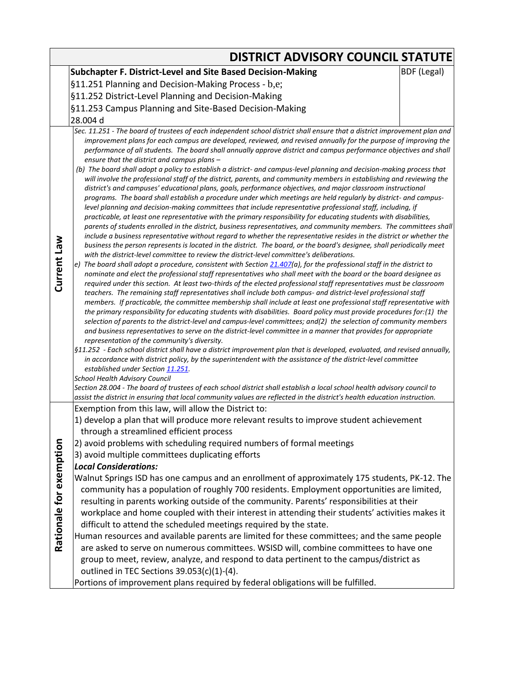|                         | <b>DISTRICT ADVISORY COUNCIL STATUTE</b>                                                                                                                                                                                                                                                                                                                                                                                                                                                                                                                                                                                                                                                                                                                                                                                                                                                                                                                                                                                                                                                                                                                                                                                                                                                                                                                                                                                                                                                                                                                                                                                                                                                                                                                                                                                                                                                                                                                                                                                                                                                                                                                                                                                                                                                                                                                                                                                                                                                                                                                                                                                                                 |  |  |  |  |  |  |
|-------------------------|----------------------------------------------------------------------------------------------------------------------------------------------------------------------------------------------------------------------------------------------------------------------------------------------------------------------------------------------------------------------------------------------------------------------------------------------------------------------------------------------------------------------------------------------------------------------------------------------------------------------------------------------------------------------------------------------------------------------------------------------------------------------------------------------------------------------------------------------------------------------------------------------------------------------------------------------------------------------------------------------------------------------------------------------------------------------------------------------------------------------------------------------------------------------------------------------------------------------------------------------------------------------------------------------------------------------------------------------------------------------------------------------------------------------------------------------------------------------------------------------------------------------------------------------------------------------------------------------------------------------------------------------------------------------------------------------------------------------------------------------------------------------------------------------------------------------------------------------------------------------------------------------------------------------------------------------------------------------------------------------------------------------------------------------------------------------------------------------------------------------------------------------------------------------------------------------------------------------------------------------------------------------------------------------------------------------------------------------------------------------------------------------------------------------------------------------------------------------------------------------------------------------------------------------------------------------------------------------------------------------------------------------------------|--|--|--|--|--|--|
|                         | Subchapter F. District-Level and Site Based Decision-Making<br><b>BDF</b> (Legal)                                                                                                                                                                                                                                                                                                                                                                                                                                                                                                                                                                                                                                                                                                                                                                                                                                                                                                                                                                                                                                                                                                                                                                                                                                                                                                                                                                                                                                                                                                                                                                                                                                                                                                                                                                                                                                                                                                                                                                                                                                                                                                                                                                                                                                                                                                                                                                                                                                                                                                                                                                        |  |  |  |  |  |  |
|                         | §11.251 Planning and Decision-Making Process - b,e;                                                                                                                                                                                                                                                                                                                                                                                                                                                                                                                                                                                                                                                                                                                                                                                                                                                                                                                                                                                                                                                                                                                                                                                                                                                                                                                                                                                                                                                                                                                                                                                                                                                                                                                                                                                                                                                                                                                                                                                                                                                                                                                                                                                                                                                                                                                                                                                                                                                                                                                                                                                                      |  |  |  |  |  |  |
|                         | §11.252 District-Level Planning and Decision-Making                                                                                                                                                                                                                                                                                                                                                                                                                                                                                                                                                                                                                                                                                                                                                                                                                                                                                                                                                                                                                                                                                                                                                                                                                                                                                                                                                                                                                                                                                                                                                                                                                                                                                                                                                                                                                                                                                                                                                                                                                                                                                                                                                                                                                                                                                                                                                                                                                                                                                                                                                                                                      |  |  |  |  |  |  |
|                         | §11.253 Campus Planning and Site-Based Decision-Making                                                                                                                                                                                                                                                                                                                                                                                                                                                                                                                                                                                                                                                                                                                                                                                                                                                                                                                                                                                                                                                                                                                                                                                                                                                                                                                                                                                                                                                                                                                                                                                                                                                                                                                                                                                                                                                                                                                                                                                                                                                                                                                                                                                                                                                                                                                                                                                                                                                                                                                                                                                                   |  |  |  |  |  |  |
|                         | 28.004 d                                                                                                                                                                                                                                                                                                                                                                                                                                                                                                                                                                                                                                                                                                                                                                                                                                                                                                                                                                                                                                                                                                                                                                                                                                                                                                                                                                                                                                                                                                                                                                                                                                                                                                                                                                                                                                                                                                                                                                                                                                                                                                                                                                                                                                                                                                                                                                                                                                                                                                                                                                                                                                                 |  |  |  |  |  |  |
| Current Law             | Sec. 11.251 - The board of trustees of each independent school district shall ensure that a district improvement plan and<br>improvement plans for each campus are developed, reviewed, and revised annually for the purpose of improving the<br>performance of all students. The board shall annually approve district and campus performance objectives and shall<br>ensure that the district and campus plans -<br>(b) The board shall adopt a policy to establish a district- and campus-level planning and decision-making process that<br>will involve the professional staff of the district, parents, and community members in establishing and reviewing the<br>district's and campuses' educational plans, goals, performance objectives, and major classroom instructional<br>programs. The board shall establish a procedure under which meetings are held regularly by district- and campus-<br>level planning and decision-making committees that include representative professional staff, including, if<br>practicable, at least one representative with the primary responsibility for educating students with disabilities,<br>parents of students enrolled in the district, business representatives, and community members. The committees shall<br>include a business representative without regard to whether the representative resides in the district or whether the<br>business the person represents is located in the district. The board, or the board's designee, shall periodically meet<br>with the district-level committee to review the district-level committee's deliberations.<br>The board shall adopt a procedure, consistent with Section 21.407(a), for the professional staff in the district to<br>e)<br>nominate and elect the professional staff representatives who shall meet with the board or the board designee as<br>required under this section. At least two-thirds of the elected professional staff representatives must be classroom<br>teachers. The remaining staff representatives shall include both campus- and district-level professional staff<br>members. If practicable, the committee membership shall include at least one professional staff representative with<br>the primary responsibility for educating students with disabilities. Board policy must provide procedures for:(1) the<br>selection of parents to the district-level and campus-level committees; and(2) the selection of community members<br>and business representatives to serve on the district-level committee in a manner that provides for appropriate<br>representation of the community's diversity. |  |  |  |  |  |  |
|                         | §11.252 - Each school district shall have a district improvement plan that is developed, evaluated, and revised annually,<br>in accordance with district policy, by the superintendent with the assistance of the district-level committee<br>established under Section 11.251.<br><b>School Health Advisory Council</b><br>Section 28.004 - The board of trustees of each school district shall establish a local school health advisory council to                                                                                                                                                                                                                                                                                                                                                                                                                                                                                                                                                                                                                                                                                                                                                                                                                                                                                                                                                                                                                                                                                                                                                                                                                                                                                                                                                                                                                                                                                                                                                                                                                                                                                                                                                                                                                                                                                                                                                                                                                                                                                                                                                                                                     |  |  |  |  |  |  |
|                         | assist the district in ensuring that local community values are reflected in the district's health education instruction.<br>Exemption from this law, will allow the District to:                                                                                                                                                                                                                                                                                                                                                                                                                                                                                                                                                                                                                                                                                                                                                                                                                                                                                                                                                                                                                                                                                                                                                                                                                                                                                                                                                                                                                                                                                                                                                                                                                                                                                                                                                                                                                                                                                                                                                                                                                                                                                                                                                                                                                                                                                                                                                                                                                                                                        |  |  |  |  |  |  |
|                         | 1) develop a plan that will produce more relevant results to improve student achievement                                                                                                                                                                                                                                                                                                                                                                                                                                                                                                                                                                                                                                                                                                                                                                                                                                                                                                                                                                                                                                                                                                                                                                                                                                                                                                                                                                                                                                                                                                                                                                                                                                                                                                                                                                                                                                                                                                                                                                                                                                                                                                                                                                                                                                                                                                                                                                                                                                                                                                                                                                 |  |  |  |  |  |  |
|                         | through a streamlined efficient process                                                                                                                                                                                                                                                                                                                                                                                                                                                                                                                                                                                                                                                                                                                                                                                                                                                                                                                                                                                                                                                                                                                                                                                                                                                                                                                                                                                                                                                                                                                                                                                                                                                                                                                                                                                                                                                                                                                                                                                                                                                                                                                                                                                                                                                                                                                                                                                                                                                                                                                                                                                                                  |  |  |  |  |  |  |
|                         | 2) avoid problems with scheduling required numbers of formal meetings                                                                                                                                                                                                                                                                                                                                                                                                                                                                                                                                                                                                                                                                                                                                                                                                                                                                                                                                                                                                                                                                                                                                                                                                                                                                                                                                                                                                                                                                                                                                                                                                                                                                                                                                                                                                                                                                                                                                                                                                                                                                                                                                                                                                                                                                                                                                                                                                                                                                                                                                                                                    |  |  |  |  |  |  |
|                         | 3) avoid multiple committees duplicating efforts                                                                                                                                                                                                                                                                                                                                                                                                                                                                                                                                                                                                                                                                                                                                                                                                                                                                                                                                                                                                                                                                                                                                                                                                                                                                                                                                                                                                                                                                                                                                                                                                                                                                                                                                                                                                                                                                                                                                                                                                                                                                                                                                                                                                                                                                                                                                                                                                                                                                                                                                                                                                         |  |  |  |  |  |  |
|                         | <b>Local Considerations:</b>                                                                                                                                                                                                                                                                                                                                                                                                                                                                                                                                                                                                                                                                                                                                                                                                                                                                                                                                                                                                                                                                                                                                                                                                                                                                                                                                                                                                                                                                                                                                                                                                                                                                                                                                                                                                                                                                                                                                                                                                                                                                                                                                                                                                                                                                                                                                                                                                                                                                                                                                                                                                                             |  |  |  |  |  |  |
|                         | Walnut Springs ISD has one campus and an enrollment of approximately 175 students, PK-12. The                                                                                                                                                                                                                                                                                                                                                                                                                                                                                                                                                                                                                                                                                                                                                                                                                                                                                                                                                                                                                                                                                                                                                                                                                                                                                                                                                                                                                                                                                                                                                                                                                                                                                                                                                                                                                                                                                                                                                                                                                                                                                                                                                                                                                                                                                                                                                                                                                                                                                                                                                            |  |  |  |  |  |  |
|                         | community has a population of roughly 700 residents. Employment opportunities are limited,                                                                                                                                                                                                                                                                                                                                                                                                                                                                                                                                                                                                                                                                                                                                                                                                                                                                                                                                                                                                                                                                                                                                                                                                                                                                                                                                                                                                                                                                                                                                                                                                                                                                                                                                                                                                                                                                                                                                                                                                                                                                                                                                                                                                                                                                                                                                                                                                                                                                                                                                                               |  |  |  |  |  |  |
|                         | resulting in parents working outside of the community. Parents' responsibilities at their                                                                                                                                                                                                                                                                                                                                                                                                                                                                                                                                                                                                                                                                                                                                                                                                                                                                                                                                                                                                                                                                                                                                                                                                                                                                                                                                                                                                                                                                                                                                                                                                                                                                                                                                                                                                                                                                                                                                                                                                                                                                                                                                                                                                                                                                                                                                                                                                                                                                                                                                                                |  |  |  |  |  |  |
|                         | workplace and home coupled with their interest in attending their students' activities makes it                                                                                                                                                                                                                                                                                                                                                                                                                                                                                                                                                                                                                                                                                                                                                                                                                                                                                                                                                                                                                                                                                                                                                                                                                                                                                                                                                                                                                                                                                                                                                                                                                                                                                                                                                                                                                                                                                                                                                                                                                                                                                                                                                                                                                                                                                                                                                                                                                                                                                                                                                          |  |  |  |  |  |  |
|                         | difficult to attend the scheduled meetings required by the state.                                                                                                                                                                                                                                                                                                                                                                                                                                                                                                                                                                                                                                                                                                                                                                                                                                                                                                                                                                                                                                                                                                                                                                                                                                                                                                                                                                                                                                                                                                                                                                                                                                                                                                                                                                                                                                                                                                                                                                                                                                                                                                                                                                                                                                                                                                                                                                                                                                                                                                                                                                                        |  |  |  |  |  |  |
| Rationale for exemption | Human resources and available parents are limited for these committees; and the same people                                                                                                                                                                                                                                                                                                                                                                                                                                                                                                                                                                                                                                                                                                                                                                                                                                                                                                                                                                                                                                                                                                                                                                                                                                                                                                                                                                                                                                                                                                                                                                                                                                                                                                                                                                                                                                                                                                                                                                                                                                                                                                                                                                                                                                                                                                                                                                                                                                                                                                                                                              |  |  |  |  |  |  |
|                         | are asked to serve on numerous committees. WSISD will, combine committees to have one                                                                                                                                                                                                                                                                                                                                                                                                                                                                                                                                                                                                                                                                                                                                                                                                                                                                                                                                                                                                                                                                                                                                                                                                                                                                                                                                                                                                                                                                                                                                                                                                                                                                                                                                                                                                                                                                                                                                                                                                                                                                                                                                                                                                                                                                                                                                                                                                                                                                                                                                                                    |  |  |  |  |  |  |
|                         | group to meet, review, analyze, and respond to data pertinent to the campus/district as                                                                                                                                                                                                                                                                                                                                                                                                                                                                                                                                                                                                                                                                                                                                                                                                                                                                                                                                                                                                                                                                                                                                                                                                                                                                                                                                                                                                                                                                                                                                                                                                                                                                                                                                                                                                                                                                                                                                                                                                                                                                                                                                                                                                                                                                                                                                                                                                                                                                                                                                                                  |  |  |  |  |  |  |
|                         | outlined in TEC Sections 39.053(c)(1)-(4).                                                                                                                                                                                                                                                                                                                                                                                                                                                                                                                                                                                                                                                                                                                                                                                                                                                                                                                                                                                                                                                                                                                                                                                                                                                                                                                                                                                                                                                                                                                                                                                                                                                                                                                                                                                                                                                                                                                                                                                                                                                                                                                                                                                                                                                                                                                                                                                                                                                                                                                                                                                                               |  |  |  |  |  |  |
|                         | Portions of improvement plans required by federal obligations will be fulfilled.                                                                                                                                                                                                                                                                                                                                                                                                                                                                                                                                                                                                                                                                                                                                                                                                                                                                                                                                                                                                                                                                                                                                                                                                                                                                                                                                                                                                                                                                                                                                                                                                                                                                                                                                                                                                                                                                                                                                                                                                                                                                                                                                                                                                                                                                                                                                                                                                                                                                                                                                                                         |  |  |  |  |  |  |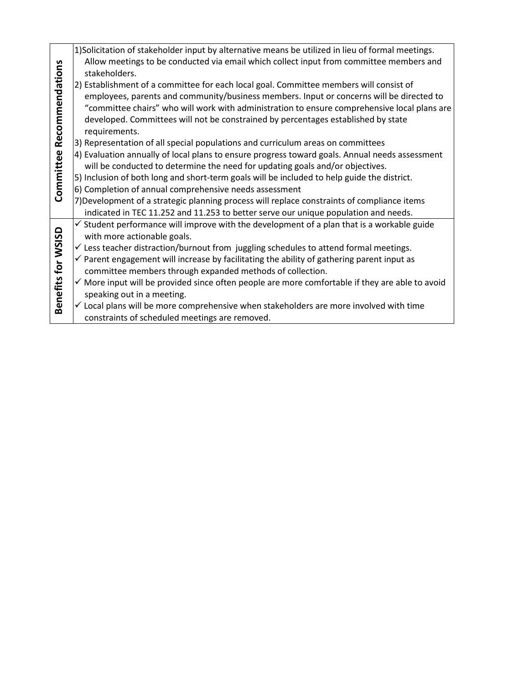|                    | 1) Solicitation of stakeholder input by alternative means be utilized in lieu of formal meetings.          |
|--------------------|------------------------------------------------------------------------------------------------------------|
| Recommendations    | Allow meetings to be conducted via email which collect input from committee members and<br>stakeholders.   |
|                    | 2) Establishment of a committee for each local goal. Committee members will consist of                     |
|                    | employees, parents and community/business members. Input or concerns will be directed to                   |
|                    | "committee chairs" who will work with administration to ensure comprehensive local plans are               |
|                    | developed. Committees will not be constrained by percentages established by state                          |
|                    | requirements.                                                                                              |
|                    | 3) Representation of all special populations and curriculum areas on committees                            |
|                    | 4) Evaluation annually of local plans to ensure progress toward goals. Annual needs assessment             |
|                    | will be conducted to determine the need for updating goals and/or objectives.                              |
| Committee          | 5) Inclusion of both long and short-term goals will be included to help guide the district.                |
|                    | 6) Completion of annual comprehensive needs assessment                                                     |
|                    | 7) Development of a strategic planning process will replace constraints of compliance items                |
|                    | indicated in TEC 11.252 and 11.253 to better serve our unique population and needs.                        |
|                    | $\checkmark$ Student performance will improve with the development of a plan that is a workable guide      |
|                    | with more actionable goals.                                                                                |
|                    | $\checkmark$ Less teacher distraction/burnout from juggling schedules to attend formal meetings.           |
|                    | $\checkmark$ Parent engagement will increase by facilitating the ability of gathering parent input as      |
|                    | committee members through expanded methods of collection.                                                  |
|                    | $\checkmark$ More input will be provided since often people are more comfortable if they are able to avoid |
|                    | speaking out in a meeting.                                                                                 |
| Benefits for WSISD | $\checkmark$ Local plans will be more comprehensive when stakeholders are more involved with time          |
|                    | constraints of scheduled meetings are removed.                                                             |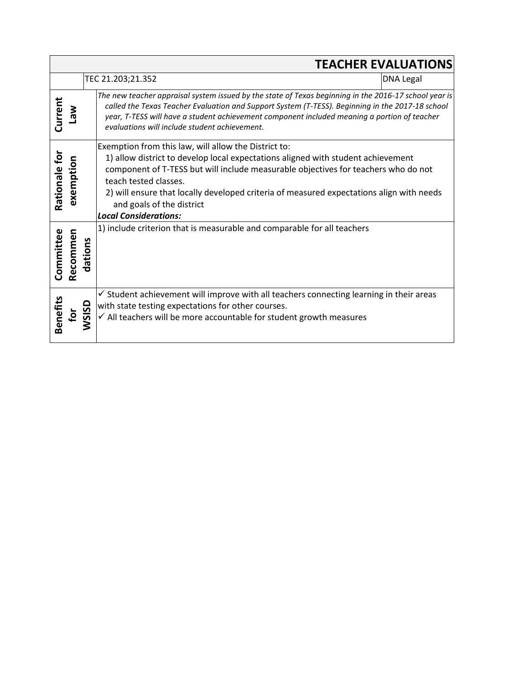|               | <b>TEACHER EVALUATIONS</b> |              |                                                                                                                                                                                                                                                                                                                                                                                                                  |                  |
|---------------|----------------------------|--------------|------------------------------------------------------------------------------------------------------------------------------------------------------------------------------------------------------------------------------------------------------------------------------------------------------------------------------------------------------------------------------------------------------------------|------------------|
|               |                            |              | TEC 21.203;21.352                                                                                                                                                                                                                                                                                                                                                                                                | <b>DNA Legal</b> |
| Current       | <b>Net</b>                 |              | The new teacher appraisal system issued by the state of Texas beginning in the 2016-17 school year is<br>called the Texas Teacher Evaluation and Support System (T-TESS). Beginning in the 2017-18 school<br>year, T-TESS will have a student achievement component included meaning a portion of teacher<br>evaluations will include student achievement.                                                       |                  |
| Rationale for | exemption                  |              | Exemption from this law, will allow the District to:<br>1) allow district to develop local expectations aligned with student achievement<br>component of T-TESS but will include measurable objectives for teachers who do not<br>teach tested classes.<br>2) will ensure that locally developed criteria of measured expectations align with needs<br>and goals of the district<br><b>Local Considerations:</b> |                  |
| Committee     | Recommen                   | dations      | 1) include criterion that is measurable and comparable for all teachers                                                                                                                                                                                                                                                                                                                                          |                  |
| Benefits      | أ¤                         | <b>WSISD</b> | $\checkmark$ Student achievement will improve with all teachers connecting learning in their areas<br>with state testing expectations for other courses.<br>$\checkmark$ All teachers will be more accountable for student growth measures                                                                                                                                                                       |                  |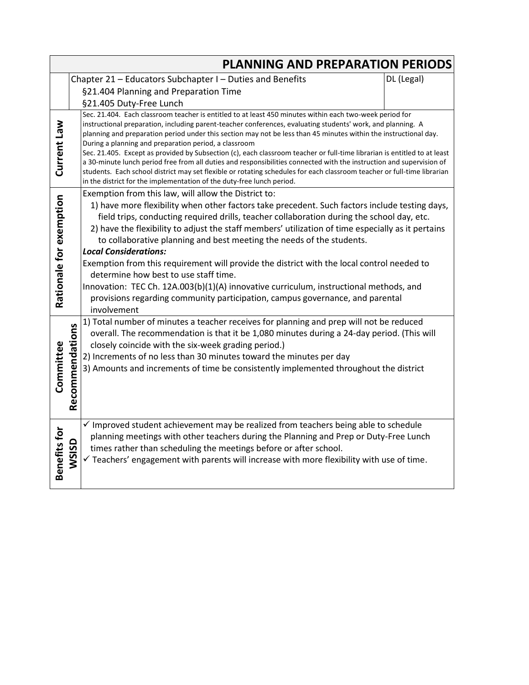|                         | <b>PLANNING AND PREPARATION PERIODS</b>                                 |                                                                                                                                                                                                                                                                                                                                                                                                                                                                                                                                                                                                                                                                                                                                                                                                                                                             |  |  |  |
|-------------------------|-------------------------------------------------------------------------|-------------------------------------------------------------------------------------------------------------------------------------------------------------------------------------------------------------------------------------------------------------------------------------------------------------------------------------------------------------------------------------------------------------------------------------------------------------------------------------------------------------------------------------------------------------------------------------------------------------------------------------------------------------------------------------------------------------------------------------------------------------------------------------------------------------------------------------------------------------|--|--|--|
|                         | Chapter 21 - Educators Subchapter I - Duties and Benefits<br>DL (Legal) |                                                                                                                                                                                                                                                                                                                                                                                                                                                                                                                                                                                                                                                                                                                                                                                                                                                             |  |  |  |
|                         |                                                                         | §21.404 Planning and Preparation Time                                                                                                                                                                                                                                                                                                                                                                                                                                                                                                                                                                                                                                                                                                                                                                                                                       |  |  |  |
|                         |                                                                         | §21.405 Duty-Free Lunch                                                                                                                                                                                                                                                                                                                                                                                                                                                                                                                                                                                                                                                                                                                                                                                                                                     |  |  |  |
| Current Law             |                                                                         | Sec. 21.404. Each classroom teacher is entitled to at least 450 minutes within each two-week period for<br>instructional preparation, including parent-teacher conferences, evaluating students' work, and planning. A<br>planning and preparation period under this section may not be less than 45 minutes within the instructional day.<br>During a planning and preparation period, a classroom<br>Sec. 21.405. Except as provided by Subsection (c), each classroom teacher or full-time librarian is entitled to at least<br>a 30-minute lunch period free from all duties and responsibilities connected with the instruction and supervision of<br>students. Each school district may set flexible or rotating schedules for each classroom teacher or full-time librarian<br>in the district for the implementation of the duty-free lunch period. |  |  |  |
| Rationale for exemption |                                                                         | Exemption from this law, will allow the District to:<br>1) have more flexibility when other factors take precedent. Such factors include testing days,<br>field trips, conducting required drills, teacher collaboration during the school day, etc.<br>2) have the flexibility to adjust the staff members' utilization of time especially as it pertains<br>to collaborative planning and best meeting the needs of the students.<br><b>Local Considerations:</b><br>Exemption from this requirement will provide the district with the local control needed to<br>determine how best to use staff time.<br>Innovation: TEC Ch. 12A.003(b)(1)(A) innovative curriculum, instructional methods, and<br>provisions regarding community participation, campus governance, and parental<br>involvement                                                        |  |  |  |
| Committee               | Recommendations                                                         | 1) Total number of minutes a teacher receives for planning and prep will not be reduced<br>overall. The recommendation is that it be 1,080 minutes during a 24-day period. (This will<br>closely coincide with the six-week grading period.)<br>2) Increments of no less than 30 minutes toward the minutes per day<br>3) Amounts and increments of time be consistently implemented throughout the district                                                                                                                                                                                                                                                                                                                                                                                                                                                |  |  |  |
| Benefits for            | WSISD                                                                   | $\checkmark$ Improved student achievement may be realized from teachers being able to schedule<br>planning meetings with other teachers during the Planning and Prep or Duty-Free Lunch<br>times rather than scheduling the meetings before or after school.<br>$\checkmark$ Teachers' engagement with parents will increase with more flexibility with use of time.                                                                                                                                                                                                                                                                                                                                                                                                                                                                                        |  |  |  |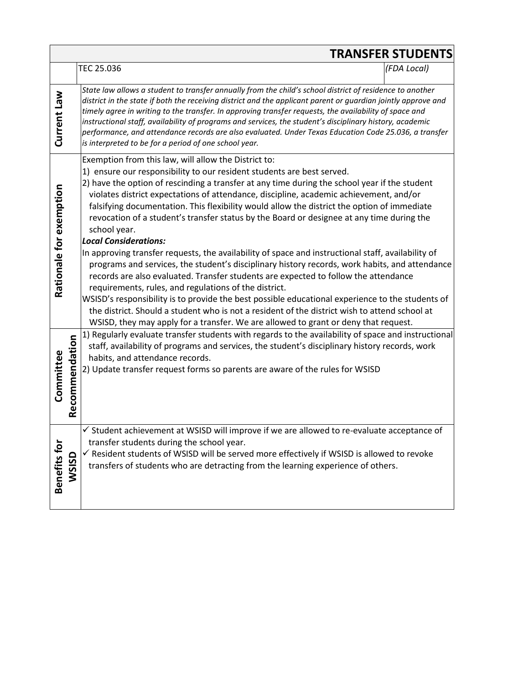|                             |                                                                                                                                                                                                                                                                                                                                                                                                                                                                                                                                                                                                                                                                                                                                                                                                                                                                                                                                                                                                                                                                                                                                                                                                                           | <b>TRANSFER STUDENTS</b> |
|-----------------------------|---------------------------------------------------------------------------------------------------------------------------------------------------------------------------------------------------------------------------------------------------------------------------------------------------------------------------------------------------------------------------------------------------------------------------------------------------------------------------------------------------------------------------------------------------------------------------------------------------------------------------------------------------------------------------------------------------------------------------------------------------------------------------------------------------------------------------------------------------------------------------------------------------------------------------------------------------------------------------------------------------------------------------------------------------------------------------------------------------------------------------------------------------------------------------------------------------------------------------|--------------------------|
|                             | TEC 25.036                                                                                                                                                                                                                                                                                                                                                                                                                                                                                                                                                                                                                                                                                                                                                                                                                                                                                                                                                                                                                                                                                                                                                                                                                | (FDA Local)              |
| Current Law                 | State law allows a student to transfer annually from the child's school district of residence to another<br>district in the state if both the receiving district and the applicant parent or guardian jointly approve and<br>timely agree in writing to the transfer. In approving transfer requests, the availability of space and<br>instructional staff, availability of programs and services, the student's disciplinary history, academic<br>performance, and attendance records are also evaluated. Under Texas Education Code 25.036, a transfer<br>is interpreted to be for a period of one school year.                                                                                                                                                                                                                                                                                                                                                                                                                                                                                                                                                                                                         |                          |
| Rationale for exemption     | Exemption from this law, will allow the District to:<br>1) ensure our responsibility to our resident students are best served.<br>2) have the option of rescinding a transfer at any time during the school year if the student<br>violates district expectations of attendance, discipline, academic achievement, and/or<br>falsifying documentation. This flexibility would allow the district the option of immediate<br>revocation of a student's transfer status by the Board or designee at any time during the<br>school year.<br><b>Local Considerations:</b><br>In approving transfer requests, the availability of space and instructional staff, availability of<br>programs and services, the student's disciplinary history records, work habits, and attendance<br>records are also evaluated. Transfer students are expected to follow the attendance<br>requirements, rules, and regulations of the district.<br>WSISD's responsibility is to provide the best possible educational experience to the students of<br>the district. Should a student who is not a resident of the district wish to attend school at<br>WSISD, they may apply for a transfer. We are allowed to grant or deny that request. |                          |
| Recommendation<br>Committee | 1) Regularly evaluate transfer students with regards to the availability of space and instructional<br>staff, availability of programs and services, the student's disciplinary history records, work<br>habits, and attendance records.<br>2) Update transfer request forms so parents are aware of the rules for WSISD                                                                                                                                                                                                                                                                                                                                                                                                                                                                                                                                                                                                                                                                                                                                                                                                                                                                                                  |                          |
| Benefits for<br>WSISD       | ✓ Student achievement at WSISD will improve if we are allowed to re-evaluate acceptance of<br>transfer students during the school year.<br>√ Resident students of WSISD will be served more effectively if WSISD is allowed to revoke<br>transfers of students who are detracting from the learning experience of others.                                                                                                                                                                                                                                                                                                                                                                                                                                                                                                                                                                                                                                                                                                                                                                                                                                                                                                 |                          |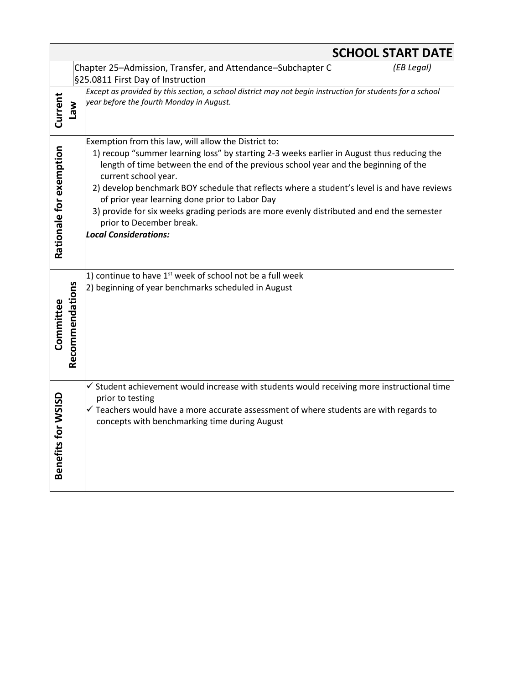|                         |                 |                                                                                                                                                                                                                                                                                                                                                                                                                                                                                                                                                                             | <b>SCHOOL START DATE</b> |
|-------------------------|-----------------|-----------------------------------------------------------------------------------------------------------------------------------------------------------------------------------------------------------------------------------------------------------------------------------------------------------------------------------------------------------------------------------------------------------------------------------------------------------------------------------------------------------------------------------------------------------------------------|--------------------------|
|                         |                 | Chapter 25-Admission, Transfer, and Attendance-Subchapter C<br>§25.0811 First Day of Instruction                                                                                                                                                                                                                                                                                                                                                                                                                                                                            | (EB Legal)               |
| Current                 | <b>Law</b>      | Except as provided by this section, a school district may not begin instruction for students for a school<br>year before the fourth Monday in August.                                                                                                                                                                                                                                                                                                                                                                                                                       |                          |
| Rationale for exemption |                 | Exemption from this law, will allow the District to:<br>1) recoup "summer learning loss" by starting 2-3 weeks earlier in August thus reducing the<br>length of time between the end of the previous school year and the beginning of the<br>current school year.<br>2) develop benchmark BOY schedule that reflects where a student's level is and have reviews<br>of prior year learning done prior to Labor Day<br>3) provide for six weeks grading periods are more evenly distributed and end the semester<br>prior to December break.<br><b>Local Considerations:</b> |                          |
| Committee               | Recommendations | 1) continue to have 1 <sup>st</sup> week of school not be a full week<br>2) beginning of year benchmarks scheduled in August                                                                                                                                                                                                                                                                                                                                                                                                                                                |                          |
| Benefits for WSISD      |                 | $\checkmark$ Student achievement would increase with students would receiving more instructional time<br>prior to testing<br>$\checkmark$ Teachers would have a more accurate assessment of where students are with regards to<br>concepts with benchmarking time during August                                                                                                                                                                                                                                                                                             |                          |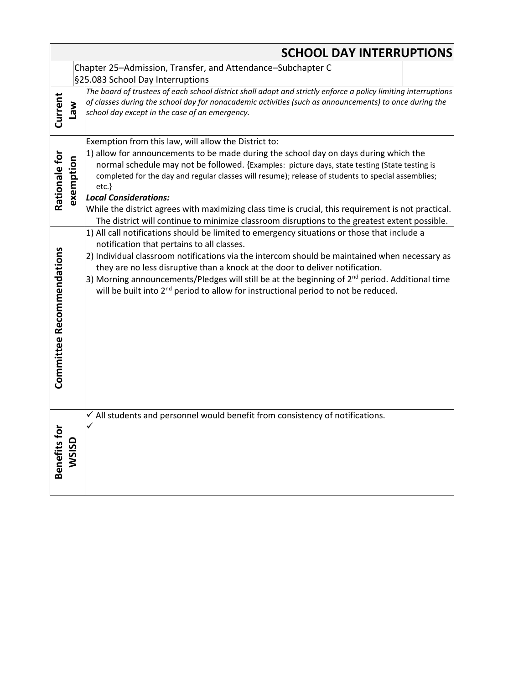|                                  |                       | <b>SCHOOL DAY INTERRUPTIONS</b>                                                                                                                                                                                                                                                                                                                                                                                                                                                                                                                                                                     |
|----------------------------------|-----------------------|-----------------------------------------------------------------------------------------------------------------------------------------------------------------------------------------------------------------------------------------------------------------------------------------------------------------------------------------------------------------------------------------------------------------------------------------------------------------------------------------------------------------------------------------------------------------------------------------------------|
|                                  |                       | Chapter 25-Admission, Transfer, and Attendance-Subchapter C                                                                                                                                                                                                                                                                                                                                                                                                                                                                                                                                         |
|                                  |                       | §25.083 School Day Interruptions<br>The board of trustees of each school district shall adopt and strictly enforce a policy limiting interruptions                                                                                                                                                                                                                                                                                                                                                                                                                                                  |
| Current                          | <b>Me<sub>1</sub></b> | of classes during the school day for nonacademic activities (such as announcements) to once during the<br>school day except in the case of an emergency.                                                                                                                                                                                                                                                                                                                                                                                                                                            |
| Rationale for                    | exemption             | Exemption from this law, will allow the District to:<br>1) allow for announcements to be made during the school day on days during which the<br>normal schedule may not be followed. {Examples: picture days, state testing (State testing is<br>completed for the day and regular classes will resume); release of students to special assemblies;<br>etc.<br><b>Local Considerations:</b><br>While the district agrees with maximizing class time is crucial, this requirement is not practical.<br>The district will continue to minimize classroom disruptions to the greatest extent possible. |
| <b>Committee Recommendations</b> |                       | 1) All call notifications should be limited to emergency situations or those that include a<br>notification that pertains to all classes.<br>2) Individual classroom notifications via the intercom should be maintained when necessary as<br>they are no less disruptive than a knock at the door to deliver notification.<br>3) Morning announcements/Pledges will still be at the beginning of 2 <sup>nd</sup> period. Additional time<br>will be built into 2 <sup>nd</sup> period to allow for instructional period to not be reduced.                                                         |
| Benefits for                     | <b>WSISD</b>          | $\checkmark$ All students and personnel would benefit from consistency of notifications.<br>✓                                                                                                                                                                                                                                                                                                                                                                                                                                                                                                       |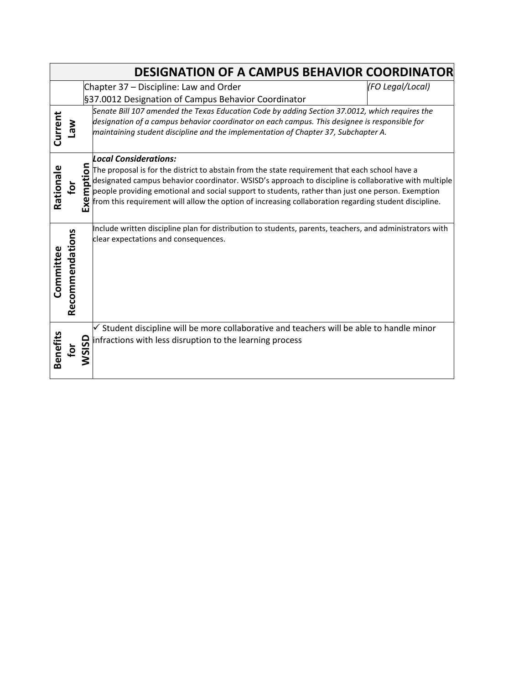|                 |                 |                | <b>DESIGNATION OF A CAMPUS BEHAVIOR COORDINATOR</b>                                                                                                                                                                                                                                                                                                                                                                                                   |                  |
|-----------------|-----------------|----------------|-------------------------------------------------------------------------------------------------------------------------------------------------------------------------------------------------------------------------------------------------------------------------------------------------------------------------------------------------------------------------------------------------------------------------------------------------------|------------------|
|                 |                 |                | Chapter 37 - Discipline: Law and Order                                                                                                                                                                                                                                                                                                                                                                                                                | (FO Legal/Local) |
|                 |                 |                | §37.0012 Designation of Campus Behavior Coordinator                                                                                                                                                                                                                                                                                                                                                                                                   |                  |
| Current         | <b>Nel</b>      |                | Senate Bill 107 amended the Texas Education Code by adding Section 37.0012, which requires the<br>designation of a campus behavior coordinator on each campus. This designee is responsible for<br>maintaining student discipline and the implementation of Chapter 37, Subchapter A.                                                                                                                                                                 |                  |
| Rationale       | ğ               | mption<br>Exer | <b>Local Considerations:</b><br>The proposal is for the district to abstain from the state requirement that each school have a<br>designated campus behavior coordinator. WSISD's approach to discipline is collaborative with multiple<br>people providing emotional and social support to students, rather than just one person. Exemption<br>from this requirement will allow the option of increasing collaboration regarding student discipline. |                  |
| Committee       | Recommendations |                | Include written discipline plan for distribution to students, parents, teachers, and administrators with<br>clear expectations and consequences.                                                                                                                                                                                                                                                                                                      |                  |
| <b>Benefits</b> | Įg              | <b>WSISD</b>   | $\checkmark$ Student discipline will be more collaborative and teachers will be able to handle minor<br>infractions with less disruption to the learning process                                                                                                                                                                                                                                                                                      |                  |